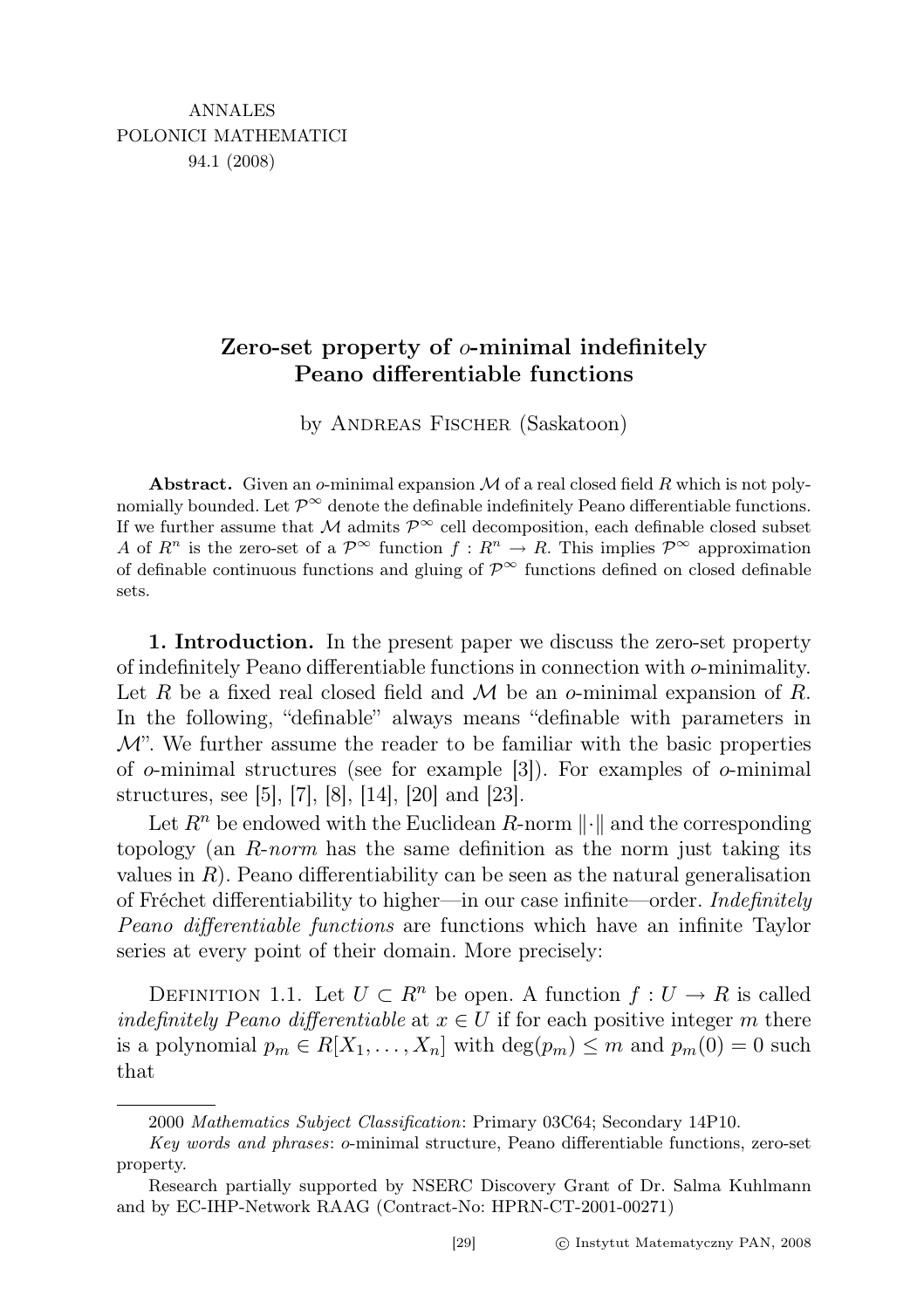# Zero-set property of  $\sigma$ -minimal indefinitely Peano differentiable functions

by Andreas Fischer (Saskatoon)

**Abstract.** Given an o-minimal expansion  $M$  of a real closed field R which is not polynomially bounded. Let  $\mathcal{P}^{\infty}$  denote the definable indefinitely Peano differentiable functions. If we further assume that M admits  $\mathcal{P}^{\infty}$  cell decomposition, each definable closed subset A of  $R^n$  is the zero-set of a  $\mathcal{P}^{\infty}$  function  $f: R^n \to R$ . This implies  $\mathcal{P}^{\infty}$  approximation of definable continuous functions and gluing of  $\mathcal{P}^{\infty}$  functions defined on closed definable sets.

1. Introduction. In the present paper we discuss the zero-set property of indefinitely Peano differentiable functions in connection with o-minimality. Let R be a fixed real closed field and M be an o-minimal expansion of R. In the following, "definable" always means "definable with parameters in  $\mathcal{M}$ ". We further assume the reader to be familiar with the basic properties of  $\sigma$ -minimal structures (see for example [3]). For examples of  $\sigma$ -minimal structures, see [5], [7], [8], [14], [20] and [23].

Let  $R^n$  be endowed with the Euclidean R-norm  $\lVert \cdot \rVert$  and the corresponding topology (an  $R\text{-}norm$  has the same definition as the norm just taking its values in  $R$ ). Peano differentiability can be seen as the natural generalisation of Fréchet differentiability to higher—in our case infinite—order. Indefinitely Peano differentiable functions are functions which have an infinite Taylor series at every point of their domain. More precisely:

DEFINITION 1.1. Let  $U \subset R^n$  be open. A function  $f: U \to R$  is called indefinitely Peano differentiable at  $x \in U$  if for each positive integer m there is a polynomial  $p_m \in R[X_1, \ldots, X_n]$  with  $\deg(p_m) \leq m$  and  $p_m(0) = 0$  such that

<sup>2000</sup> Mathematics Subject Classification: Primary 03C64; Secondary 14P10.

Key words and phrases: o-minimal structure, Peano differentiable functions, zero-set property.

Research partially supported by NSERC Discovery Grant of Dr. Salma Kuhlmann and by EC-IHP-Network RAAG (Contract-No: HPRN-CT-2001-00271)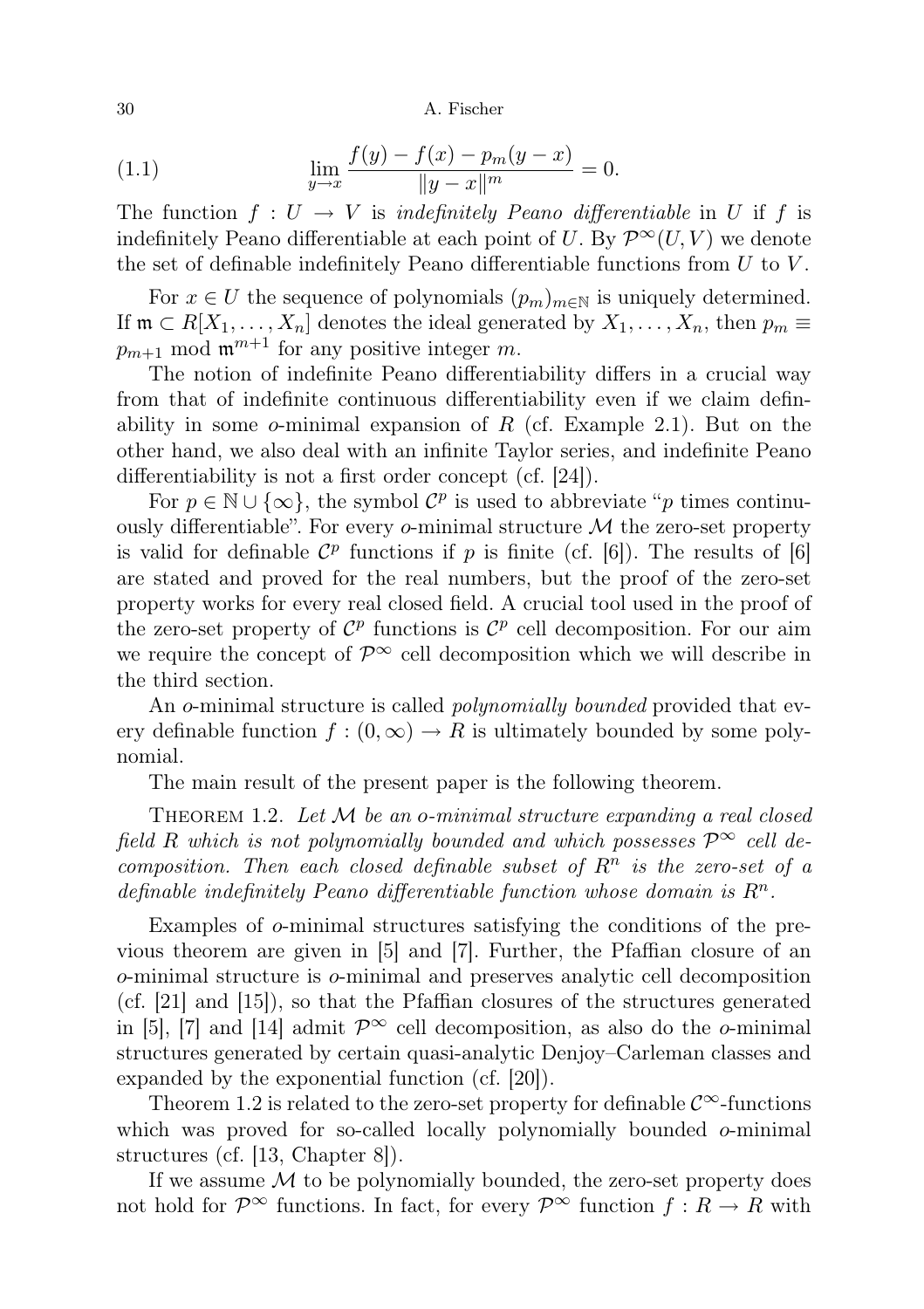(1.1) 
$$
\lim_{y \to x} \frac{f(y) - f(x) - p_m(y - x)}{\|y - x\|^m} = 0.
$$

The function  $f: U \to V$  is *indefinitely Peano differentiable* in U if f is indefinitely Peano differentiable at each point of U. By  $\mathcal{P}^{\infty}(U, V)$  we denote the set of definable indefinitely Peano differentiable functions from  $U$  to  $V$ .

For  $x \in U$  the sequence of polynomials  $(p_m)_{m \in \mathbb{N}}$  is uniquely determined. If  $\mathfrak{m} \subset R[X_1,\ldots,X_n]$  denotes the ideal generated by  $X_1,\ldots,X_n$ , then  $p_m \equiv$  $p_{m+1}$  mod  $\mathfrak{m}^{m+1}$  for any positive integer m.

The notion of indefinite Peano differentiability differs in a crucial way from that of indefinite continuous differentiability even if we claim definability in some  $o$ -minimal expansion of R (cf. Example 2.1). But on the other hand, we also deal with an infinite Taylor series, and indefinite Peano differentiability is not a first order concept (cf. [24]).

For  $p \in \mathbb{N} \cup \{\infty\}$ , the symbol  $\mathcal{C}^p$  is used to abbreviate "p times continuously differentiable". For every  $\sigma$ -minimal structure  $\mathcal M$  the zero-set property is valid for definable  $\mathcal{C}^p$  functions if p is finite (cf. [6]). The results of [6] are stated and proved for the real numbers, but the proof of the zero-set property works for every real closed field. A crucial tool used in the proof of the zero-set property of  $\mathcal{C}^p$  functions is  $\mathcal{C}^p$  cell decomposition. For our aim we require the concept of  $\mathcal{P}^{\infty}$  cell decomposition which we will describe in the third section.

An o-minimal structure is called *polynomially bounded* provided that every definable function  $f:(0,\infty) \to R$  is ultimately bounded by some polynomial.

The main result of the present paper is the following theorem.

THEOREM 1.2. Let  $M$  be an o-minimal structure expanding a real closed field R which is not polynomially bounded and which possesses  $\mathcal{P}^{\infty}$  cell decomposition. Then each closed definable subset of  $R<sup>n</sup>$  is the zero-set of a definable indefinitely Peano differentiable function whose domain is  $R<sup>n</sup>$ .

Examples of o-minimal structures satisfying the conditions of the previous theorem are given in [5] and [7]. Further, the Pfaffian closure of an o-minimal structure is o-minimal and preserves analytic cell decomposition (cf. [21] and [15]), so that the Pfaffian closures of the structures generated in [5], [7] and [14] admit  $\mathcal{P}^{\infty}$  cell decomposition, as also do the *o*-minimal structures generated by certain quasi-analytic Denjoy–Carleman classes and expanded by the exponential function (cf. [20]).

Theorem 1.2 is related to the zero-set property for definable  $\mathcal{C}^{\infty}$ -functions which was proved for so-called locally polynomially bounded  $o$ -minimal structures (cf. [13, Chapter 8]).

If we assume  $M$  to be polynomially bounded, the zero-set property does not hold for  $\mathcal{P}^{\infty}$  functions. In fact, for every  $\mathcal{P}^{\infty}$  function  $f: R \to R$  with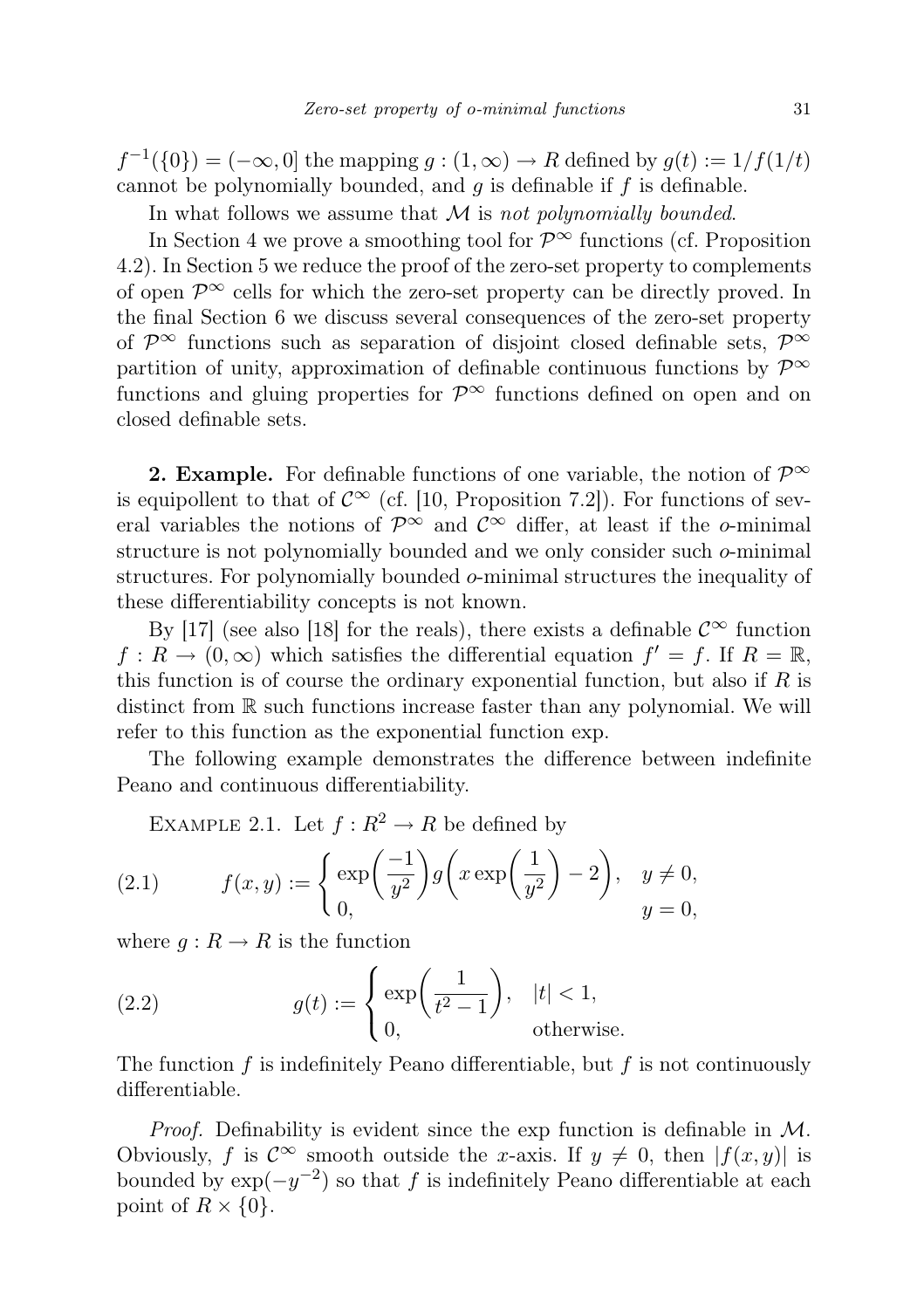$f^{-1}(\{0\}) = (-\infty, 0]$  the mapping  $g : (1, \infty) \to R$  defined by  $g(t) := 1/f(1/t)$ cannot be polynomially bounded, and  $g$  is definable if  $f$  is definable.

In what follows we assume that  $M$  is not polynomially bounded.

In Section 4 we prove a smoothing tool for  $\mathcal{P}^{\infty}$  functions (cf. Proposition 4.2). In Section 5 we reduce the proof of the zero-set property to complements of open  $\mathcal{P}^{\infty}$  cells for which the zero-set property can be directly proved. In the final Section 6 we discuss several consequences of the zero-set property of  $\mathcal{P}^{\infty}$  functions such as separation of disjoint closed definable sets,  $\mathcal{P}^{\infty}$ partition of unity, approximation of definable continuous functions by  $\mathcal{P}^{\infty}$ functions and gluing properties for  $\mathcal{P}^{\infty}$  functions defined on open and on closed definable sets.

**2. Example.** For definable functions of one variable, the notion of  $\mathcal{P}^{\infty}$ is equipollent to that of  $\mathcal{C}^{\infty}$  (cf. [10, Proposition 7.2]). For functions of several variables the notions of  $\mathcal{P}^{\infty}$  and  $\mathcal{C}^{\infty}$  differ, at least if the *o*-minimal structure is not polynomially bounded and we only consider such o-minimal structures. For polynomially bounded o-minimal structures the inequality of these differentiability concepts is not known.

By [17] (see also [18] for the reals), there exists a definable  $\mathcal{C}^{\infty}$  function  $f: R \to (0, \infty)$  which satisfies the differential equation  $f' = f$ . If  $R = \mathbb{R}$ , this function is of course the ordinary exponential function, but also if  $R$  is distinct from R such functions increase faster than any polynomial. We will refer to this function as the exponential function exp.

The following example demonstrates the difference between indefinite Peano and continuous differentiability.

EXAMPLE 2.1. Let  $f: R^2 \to R$  be defined by

(2.1) 
$$
f(x,y) := \begin{cases} \exp\left(\frac{-1}{y^2}\right)g\left(x\exp\left(\frac{1}{y^2}\right)-2\right), & y \neq 0, \\ 0, & y = 0, \end{cases}
$$

where  $g: R \to R$  is the function

(2.2) 
$$
g(t) := \begin{cases} \exp\left(\frac{1}{t^2 - 1}\right), & |t| < 1, \\ 0, & \text{otherwise.} \end{cases}
$$

The function  $f$  is indefinitely Peano differentiable, but  $f$  is not continuously differentiable.

*Proof.* Definability is evident since the exp function is definable in  $M$ . Obviously, f is  $\mathcal{C}^{\infty}$  smooth outside the x-axis. If  $y \neq 0$ , then  $|f(x, y)|$  is bounded by  $\exp(-y^{-2})$  so that f is indefinitely Peano differentiable at each point of  $R \times \{0\}$ .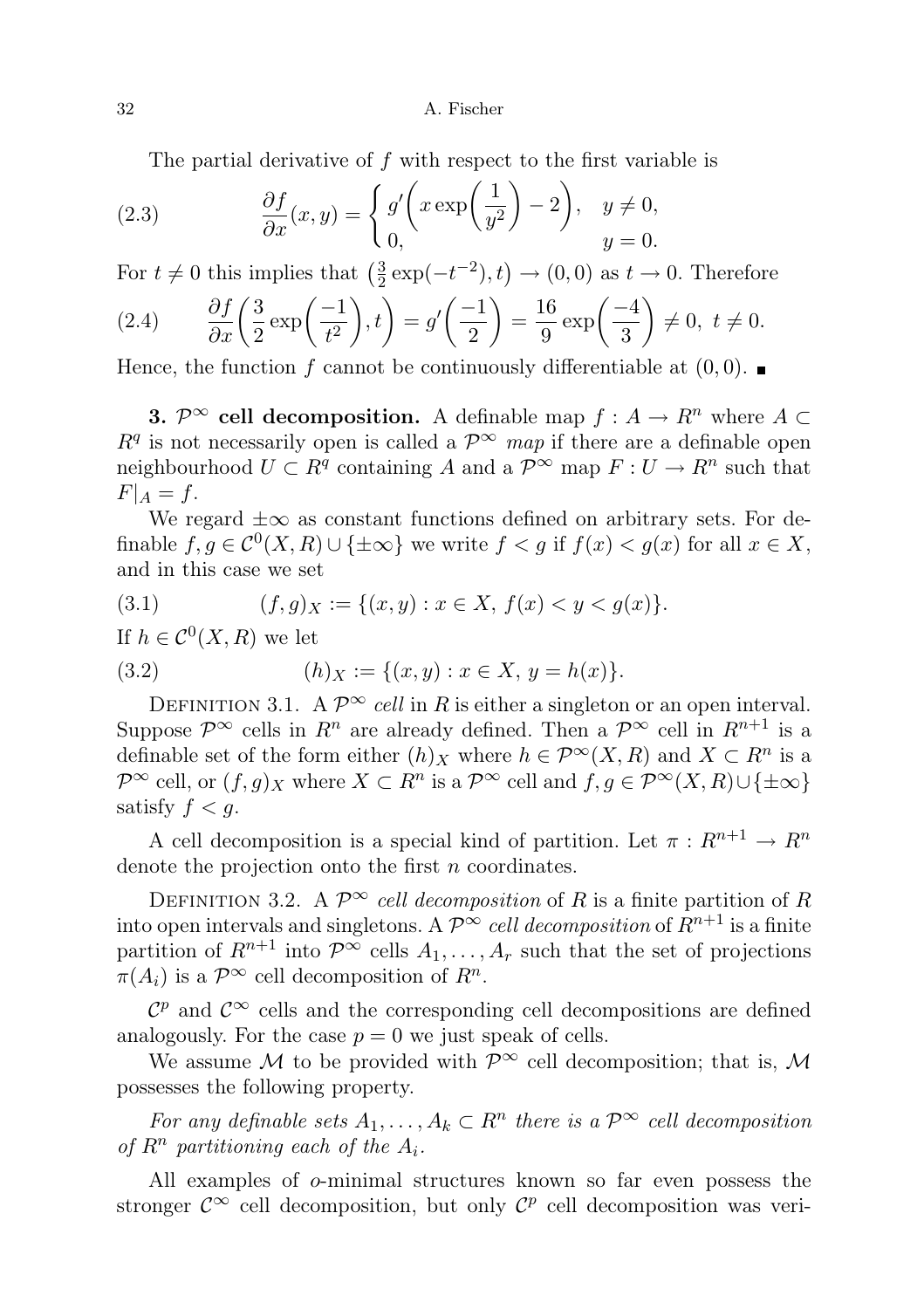The partial derivative of  $f$  with respect to the first variable is

(2.3) 
$$
\frac{\partial f}{\partial x}(x,y) = \begin{cases} g' \left( x \exp\left(\frac{1}{y^2}\right) - 2 \right), & y \neq 0, \\ 0, & y = 0. \end{cases}
$$

For  $t \neq 0$  this implies that  $\left(\frac{3}{2}\right)$  $\frac{3}{2} \exp(-t^{-2}), t) \rightarrow (0, 0)$  as  $t \rightarrow 0$ . Therefore

(2.4) 
$$
\frac{\partial f}{\partial x} \left( \frac{3}{2} \exp\left(\frac{-1}{t^2}\right), t \right) = g' \left( \frac{-1}{2} \right) = \frac{16}{9} \exp\left(\frac{-4}{3}\right) \neq 0, t \neq 0.
$$

Hence, the function f cannot be continuously differentiable at  $(0,0)$ .

**3.**  $\mathcal{P}^{\infty}$  cell decomposition. A definable map  $f : A \to \mathbb{R}^n$  where  $A \subset$  $R<sup>q</sup>$  is not necessarily open is called a  $\mathcal{P}^{\infty}$  map if there are a definable open neighbourhood  $U \subset R^q$  containing A and a  $\mathcal{P}^{\infty}$  map  $F: U \to R^n$  such that  $F|_A = f$ .

We regard  $\pm \infty$  as constant functions defined on arbitrary sets. For definable  $f, g \in C^0(X, R) \cup \{\pm \infty\}$  we write  $f < g$  if  $f(x) < g(x)$  for all  $x \in X$ , and in this case we set

(3.1) 
$$
(f,g)_X := \{(x,y) : x \in X, f(x) < y < g(x)\}.
$$

If  $h \in \mathcal{C}^0(X,R)$  we let

(3.2) 
$$
(h)_X := \{(x, y) : x \in X, y = h(x)\}.
$$

DEFINITION 3.1. A  $\mathcal{P}^{\infty}$  cell in R is either a singleton or an open interval. Suppose  $\mathcal{P}^{\infty}$  cells in  $R^n$  are already defined. Then a  $\mathcal{P}^{\infty}$  cell in  $R^{n+1}$  is a definable set of the form either  $(h)_X$  where  $h \in \mathcal{P}^{\infty}(X,R)$  and  $X \subset R^n$  is a  $\mathcal{P}^{\infty}$  cell, or  $(f, g)_X$  where  $X \subset \mathbb{R}^n$  is a  $\mathcal{P}^{\infty}$  cell and  $f, g \in \mathcal{P}^{\infty}(X, \mathbb{R}) \cup \{\pm \infty\}$ satisfy  $f < q$ .

A cell decomposition is a special kind of partition. Let  $\pi: R^{n+1} \to R^n$ denote the projection onto the first  $n$  coordinates.

DEFINITION 3.2. A  $\mathcal{P}^{\infty}$  cell decomposition of R is a finite partition of R into open intervals and singletons. A  $\mathcal{P}^{\infty}$  cell decomposition of  $\mathbb{R}^{n+1}$  is a finite partition of  $R^{n+1}$  into  $\mathcal{P}^{\infty}$  cells  $A_1, \ldots, A_r$  such that the set of projections  $\pi(A_i)$  is a  $\mathcal{P}^{\infty}$  cell decomposition of  $R^n$ .

 $\mathcal{C}^p$  and  $\mathcal{C}^\infty$  cells and the corresponding cell decompositions are defined analogously. For the case  $p = 0$  we just speak of cells.

We assume M to be provided with  $\mathcal{P}^{\infty}$  cell decomposition; that is, M possesses the following property.

For any definable sets  $A_1, \ldots, A_k \subset \mathbb{R}^n$  there is a  $\mathcal{P}^{\infty}$  cell decomposition of  $R^n$  partitioning each of the  $A_i$ .

All examples of o-minimal structures known so far even possess the stronger  $\mathcal{C}^{\infty}$  cell decomposition, but only  $\mathcal{C}^{p}$  cell decomposition was veri-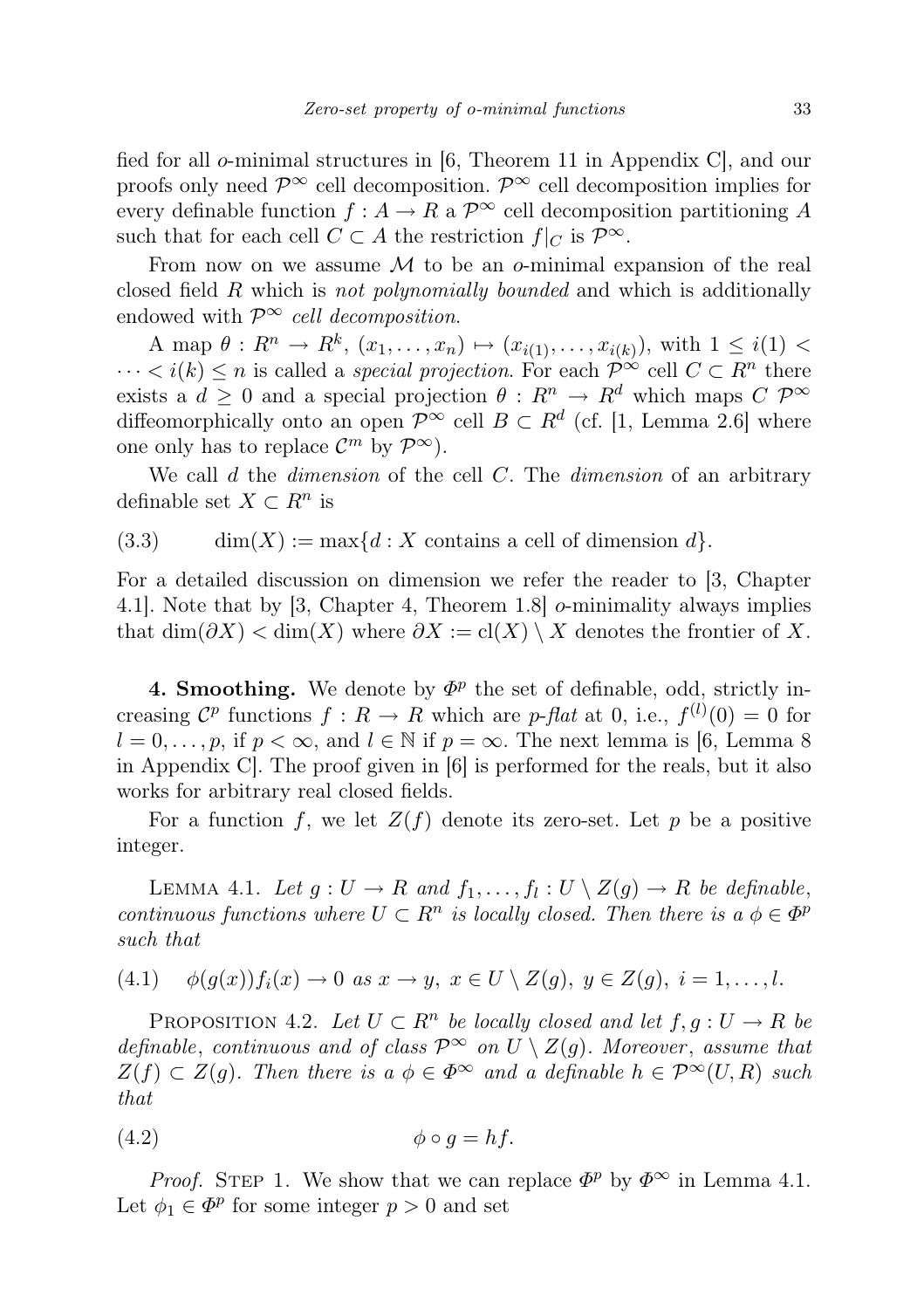fied for all o-minimal structures in  $(6,$  Theorem 11 in Appendix C, and our proofs only need  $\mathcal{P}^{\infty}$  cell decomposition.  $\mathcal{P}^{\infty}$  cell decomposition implies for every definable function  $f : A \to R$  a  $\mathcal{P}^{\infty}$  cell decomposition partitioning A such that for each cell  $C \subset A$  the restriction  $f|_C$  is  $\mathcal{P}^{\infty}$ .

From now on we assume  $M$  to be an  $\sigma$ -minimal expansion of the real closed field R which is not polynomially bounded and which is additionally endowed with  $\mathcal{P}^{\infty}$  cell decomposition.

A map  $\theta: R^n \to R^k$ ,  $(x_1, ..., x_n) \mapsto (x_{i(1)}, ..., x_{i(k)})$ , with  $1 \leq i(1)$  $\cdots < i(k) \leq n$  is called a *special projection*. For each  $\mathcal{P}^{\infty}$  cell  $C \subset \mathbb{R}^n$  there exists a  $d > 0$  and a special projection  $\theta : R^n \to R^d$  which maps  $C \mathcal{P}^{\infty}$ diffeomorphically onto an open  $\mathcal{P}^{\infty}$  cell  $B \subset R^d$  (cf. [1, Lemma 2.6] where one only has to replace  $\mathcal{C}^m$  by  $\mathcal{P}^{\infty}$ ).

We call  $d$  the *dimension* of the cell  $C$ . The *dimension* of an arbitrary definable set  $X \subset \mathbb{R}^n$  is

(3.3)  $\dim(X) := \max\{d : X \text{ contains a cell of dimension } d\}.$ 

For a detailed discussion on dimension we refer the reader to [3, Chapter 4.1]. Note that by [3, Chapter 4, Theorem 1.8] o-minimality always implies that  $\dim(\partial X) < \dim(X)$  where  $\partial X := \text{cl}(X) \setminus X$  denotes the frontier of X.

4. Smoothing. We denote by  $\Phi^p$  the set of definable, odd, strictly increasing  $\mathcal{C}^p$  functions  $f: R \to R$  which are p-flat at 0, i.e.,  $f^{(l)}(0) = 0$  for  $l = 0, \ldots, p$ , if  $p < \infty$ , and  $l \in \mathbb{N}$  if  $p = \infty$ . The next lemma is [6, Lemma 8] in Appendix C]. The proof given in [6] is performed for the reals, but it also works for arbitrary real closed fields.

For a function f, we let  $Z(f)$  denote its zero-set. Let p be a positive integer.

LEMMA 4.1. Let  $g: U \to R$  and  $f_1, \ldots, f_l: U \setminus Z(g) \to R$  be definable, continuous functions where  $U \subset R^n$  is locally closed. Then there is  $a \phi \in \Phi^n$ such that

$$
(4.1) \quad \phi(g(x))f_i(x) \to 0 \text{ as } x \to y, \ x \in U \setminus Z(g), \ y \in Z(g), \ i = 1, \dots, l.
$$

PROPOSITION 4.2. Let  $U \subset R^n$  be locally closed and let  $f, g: U \to R$  be definable, continuous and of class  $\mathcal{P}^{\infty}$  on  $U \setminus Z(g)$ . Moreover, assume that  $Z(f) \subset Z(g)$ . Then there is  $a \phi \in \Phi^{\infty}$  and a definable  $h \in \mathcal{P}^{\infty}(U, R)$  such that

$$
\phi \circ g = hf.
$$

*Proof.* STEP 1. We show that we can replace  $\Phi^p$  by  $\Phi^{\infty}$  in Lemma 4.1. Let  $\phi_1 \in \Phi^p$  for some integer  $p > 0$  and set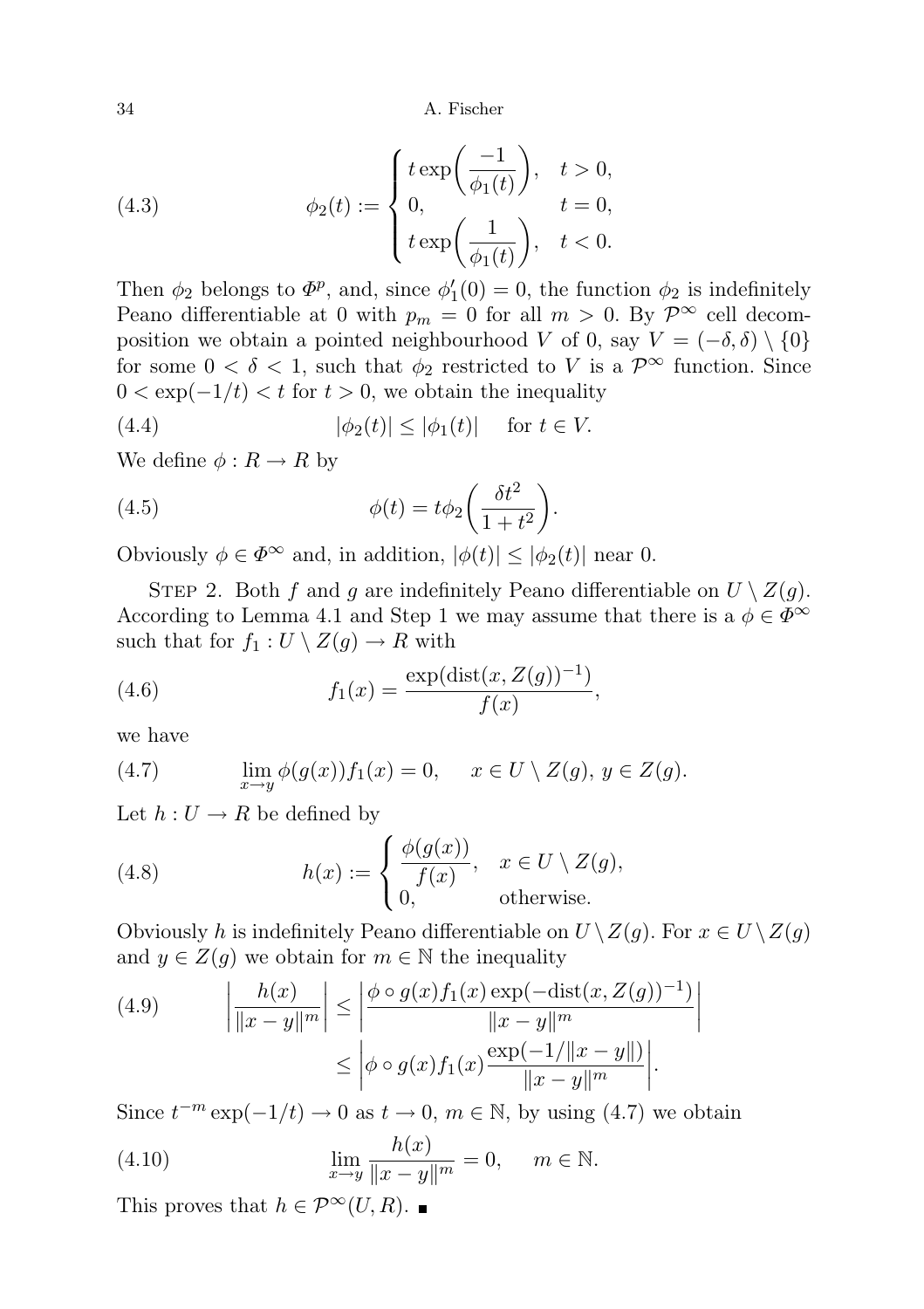(4.3) 
$$
\phi_2(t) := \begin{cases} t \exp\left(\frac{-1}{\phi_1(t)}\right), & t > 0, \\ 0, & t = 0, \\ t \exp\left(\frac{1}{\phi_1(t)}\right), & t < 0. \end{cases}
$$

Then  $\phi_2$  belongs to  $\Phi^p$ , and, since  $\phi'_1(0) = 0$ , the function  $\phi_2$  is indefinitely Peano differentiable at 0 with  $p_m = 0$  for all  $m > 0$ . By  $\mathcal{P}^{\infty}$  cell decomposition we obtain a pointed neighbourhood V of 0, say  $V = (-\delta, \delta) \setminus \{0\}$ for some  $0 < \delta < 1$ , such that  $\phi_2$  restricted to V is a  $\mathcal{P}^{\infty}$  function. Since  $0 < \exp(-1/t) < t$  for  $t > 0$ , we obtain the inequality

(4.4) 
$$
|\phi_2(t)| \le |\phi_1(t)| \quad \text{for } t \in V.
$$

We define  $\phi: R \to R$  by

(4.5) 
$$
\phi(t) = t\phi_2 \left(\frac{\delta t^2}{1+t^2}\right).
$$

Obviously  $\phi \in \Phi^{\infty}$  and, in addition,  $|\phi(t)| \leq |\phi_2(t)|$  near 0.

STEP 2. Both f and g are indefinitely Peano differentiable on  $U \setminus Z(g)$ . According to Lemma 4.1 and Step 1 we may assume that there is a  $\phi \in \Phi^{\infty}$ such that for  $f_1 : U \setminus Z(g) \to R$  with

(4.6) 
$$
f_1(x) = \frac{\exp(\text{dist}(x, Z(g))^{-1})}{f(x)},
$$

we have

(4.7) 
$$
\lim_{x \to y} \phi(g(x)) f_1(x) = 0, \quad x \in U \setminus Z(g), y \in Z(g).
$$

Let  $h: U \to R$  be defined by

(4.8) 
$$
h(x) := \begin{cases} \frac{\phi(g(x))}{f(x)}, & x \in U \setminus Z(g), \\ 0, & \text{otherwise.} \end{cases}
$$

Obviously h is indefinitely Peano differentiable on  $U \setminus Z(g)$ . For  $x \in U \setminus Z(g)$ and  $y \in Z(g)$  we obtain for  $m \in \mathbb{N}$  the inequality

(4.9) 
$$
\left| \frac{h(x)}{\|x - y\|^m} \right| \le \left| \frac{\phi \circ g(x) f_1(x) \exp(-\text{dist}(x, Z(g))^{-1})}{\|x - y\|^m} \right|
$$

$$
\le \left| \phi \circ g(x) f_1(x) \frac{\exp(-1/\|x - y\|)}{\|x - y\|^m} \right|.
$$

Since  $t^{-m} \exp(-1/t) \to 0$  as  $t \to 0$ ,  $m \in \mathbb{N}$ , by using (4.7) we obtain

(4.10) 
$$
\lim_{x \to y} \frac{h(x)}{\|x - y\|^m} = 0, \quad m \in \mathbb{N}.
$$

This proves that  $h \in \mathcal{P}^{\infty}(U, R)$ .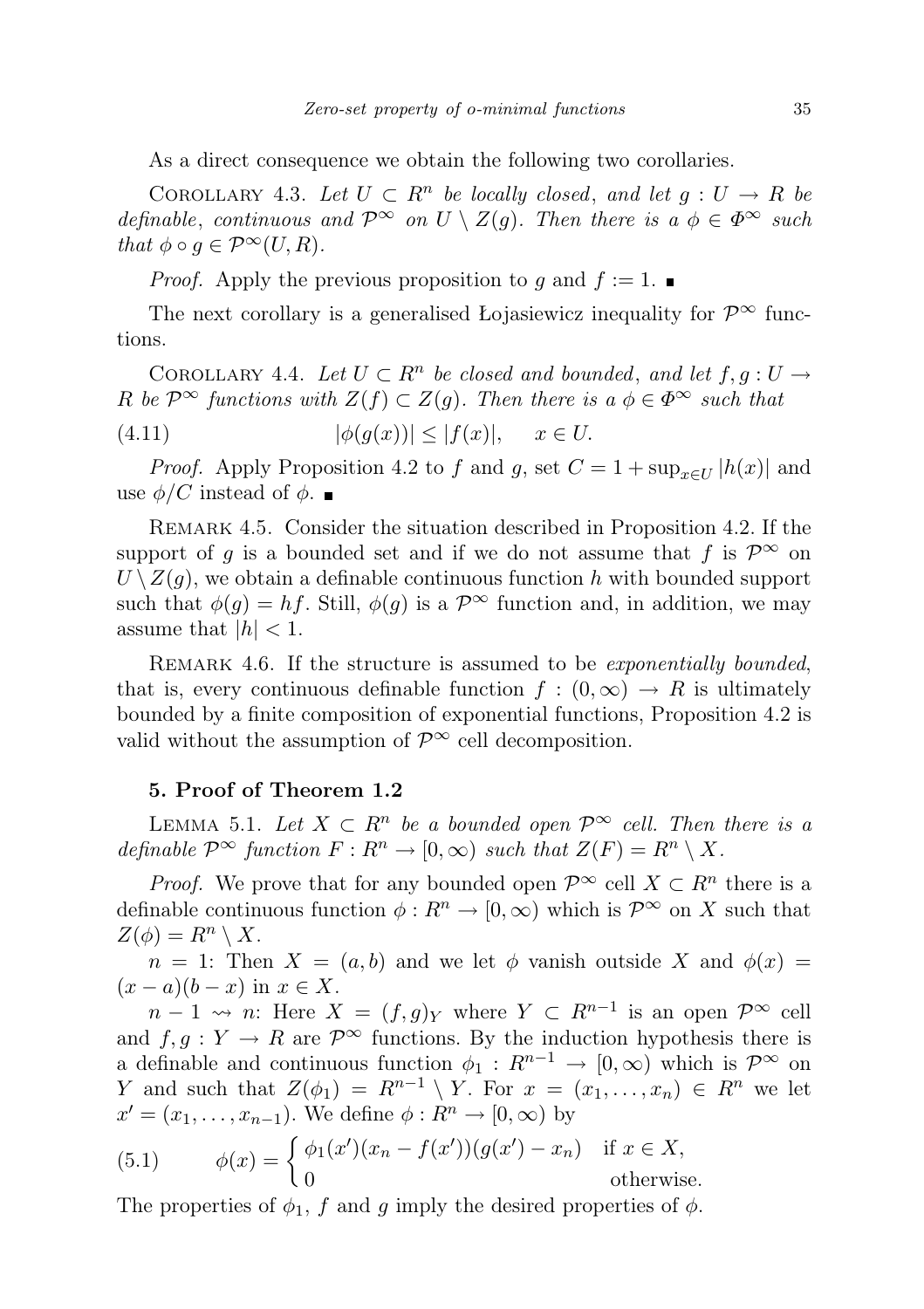As a direct consequence we obtain the following two corollaries.

COROLLARY 4.3. Let  $U \subset R^n$  be locally closed, and let  $g: U \to R$  be definable, continuous and  $\mathcal{P}^{\infty}$  on  $U \setminus Z(g)$ . Then there is a  $\phi \in \Phi^{\infty}$  such that  $\phi \circ q \in \mathcal{P}^{\infty}(U, R)$ .

*Proof.* Apply the previous proposition to q and  $f := 1$ .

The next corollary is a generalised Łojasiewicz inequality for  $\mathcal{P}^{\infty}$  functions.

COROLLARY 4.4. Let  $U \subset R^n$  be closed and bounded, and let  $f, g: U \to$ R be  $\mathcal{P}^{\infty}$  functions with  $Z(f) \subset Z(g)$ . Then there is  $a \phi \in \Phi^{\infty}$  such that

(4.11)  $|\phi(g(x))| \leq |f(x)|, \quad x \in U.$ 

*Proof.* Apply Proposition 4.2 to f and g, set  $C = 1 + \sup_{x \in U} |h(x)|$  and use  $\phi/C$  instead of  $\phi$ .

Remark 4.5. Consider the situation described in Proposition 4.2. If the support of g is a bounded set and if we do not assume that f is  $\mathcal{P}^{\infty}$  on  $U \setminus Z(q)$ , we obtain a definable continuous function h with bounded support such that  $\phi(g) = hf$ . Still,  $\phi(g)$  is a  $\mathcal{P}^{\infty}$  function and, in addition, we may assume that  $|h| < 1$ .

REMARK 4.6. If the structure is assumed to be *exponentially bounded*, that is, every continuous definable function  $f : (0, \infty) \to R$  is ultimately bounded by a finite composition of exponential functions, Proposition 4.2 is valid without the assumption of  $\mathcal{P}^{\infty}$  cell decomposition.

## 5. Proof of Theorem 1.2

LEMMA 5.1. Let  $X \subset R^n$  be a bounded open  $\mathcal{P}^{\infty}$  cell. Then there is a definable  $\mathcal{P}^{\infty}$  function  $F: R^n \to [0, \infty)$  such that  $Z(F) = R^n \setminus X$ .

*Proof.* We prove that for any bounded open  $\mathcal{P}^{\infty}$  cell  $X \subset \mathbb{R}^n$  there is a definable continuous function  $\phi: R^n \to [0, \infty)$  which is  $\mathcal{P}^{\infty}$  on X such that  $Z(\phi) = R^n \setminus X$ .

 $n = 1$ : Then  $X = (a, b)$  and we let  $\phi$  vanish outside X and  $\phi(x) =$  $(x-a)(b-x)$  in  $x \in X$ .

 $n-1 \rightsquigarrow n$ : Here  $X = (f, g)_Y$  where  $Y \subset R^{n-1}$  is an open  $\mathcal{P}^{\infty}$  cell and  $f, q: Y \to R$  are  $\mathcal{P}^{\infty}$  functions. By the induction hypothesis there is a definable and continuous function  $\phi_1 : R^{n-1} \to [0, \infty)$  which is  $\mathcal{P}^{\infty}$  on Y and such that  $Z(\phi_1) = R^{n-1} \setminus Y$ . For  $x = (x_1, \ldots, x_n) \in R^n$  we let  $x' = (x_1, \ldots, x_{n-1})$ . We define  $\phi : R^n \to [0, \infty)$  by

(5.1) 
$$
\phi(x) = \begin{cases} \phi_1(x')(x_n - f(x'))(g(x') - x_n) & \text{if } x \in X, \\ 0 & \text{otherwise.} \end{cases}
$$

The properties of  $\phi_1$ , f and g imply the desired properties of  $\phi$ .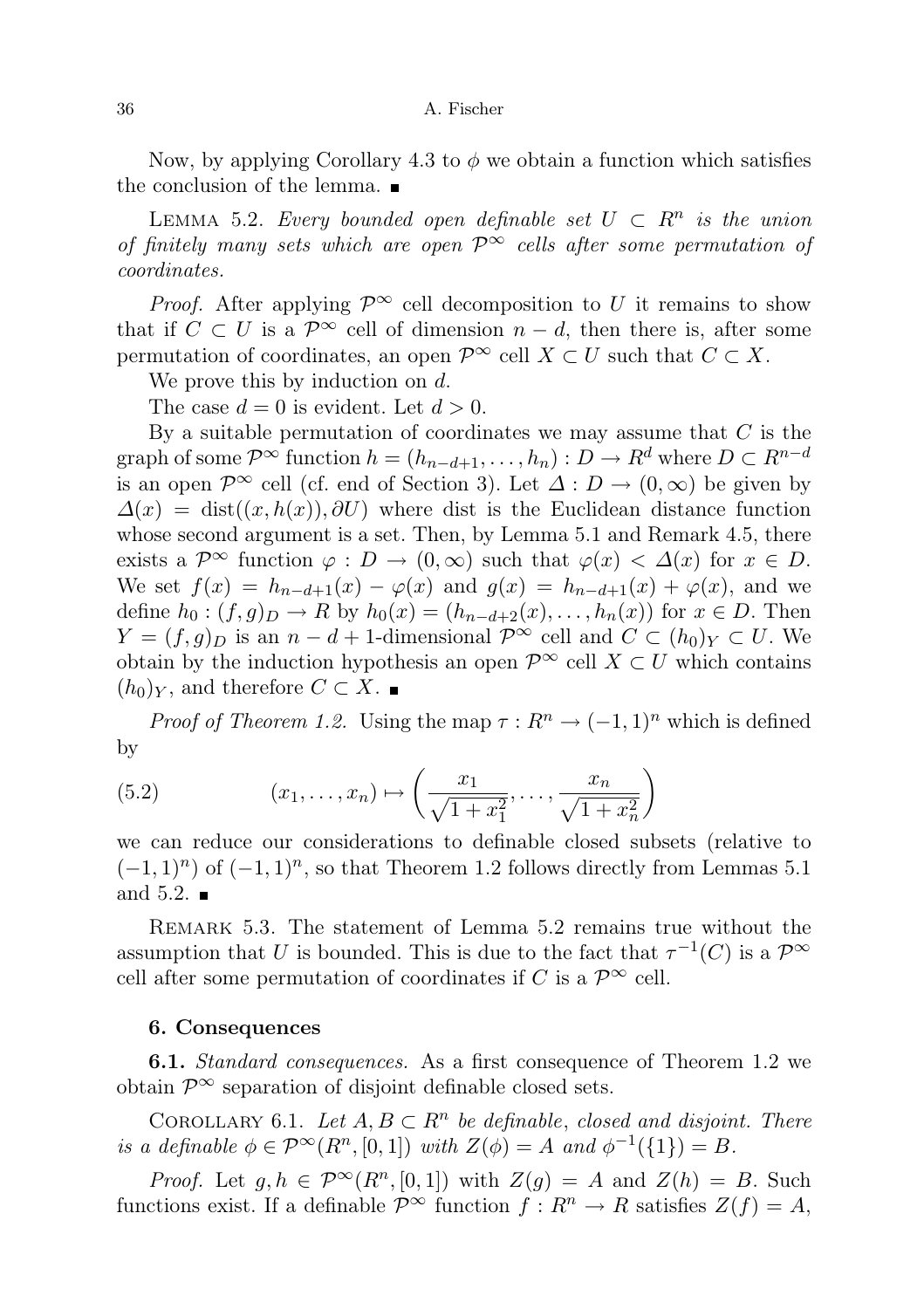Now, by applying Corollary 4.3 to  $\phi$  we obtain a function which satisfies the conclusion of the lemma.

LEMMA 5.2. Every bounded open definable set  $U \subset R^n$  is the union of finitely many sets which are open  $\mathcal{P}^{\infty}$  cells after some permutation of coordinates.

*Proof.* After applying  $\mathcal{P}^{\infty}$  cell decomposition to U it remains to show that if  $C \subset U$  is a  $\mathcal{P}^{\infty}$  cell of dimension  $n - d$ , then there is, after some permutation of coordinates, an open  $\mathcal{P}^{\infty}$  cell  $X \subset U$  such that  $C \subset X$ .

We prove this by induction on d.

The case  $d = 0$  is evident. Let  $d > 0$ .

By a suitable permutation of coordinates we may assume that  $C$  is the graph of some  $\mathcal{P}^{\infty}$  function  $h = (h_{n-d+1}, \ldots, h_n) : D \to R^d$  where  $D \subset R^{n-d}$ is an open  $\mathcal{P}^{\infty}$  cell (cf. end of Section 3). Let  $\Delta: D \to (0,\infty)$  be given by  $\Delta(x) = \text{dist}((x, h(x)), \partial U)$  where dist is the Euclidean distance function whose second argument is a set. Then, by Lemma 5.1 and Remark 4.5, there exists a  $\mathcal{P}^{\infty}$  function  $\varphi : D \to (0, \infty)$  such that  $\varphi(x) < \Delta(x)$  for  $x \in D$ . We set  $f(x) = h_{n-d+1}(x) - \varphi(x)$  and  $g(x) = h_{n-d+1}(x) + \varphi(x)$ , and we define  $h_0$  :  $(f, g)_D \to R$  by  $h_0(x) = (h_{n-d+2}(x), \ldots, h_n(x))$  for  $x \in D$ . Then  $Y = (f, g)_D$  is an  $n - d + 1$ -dimensional  $\mathcal{P}^{\infty}$  cell and  $C \subset (h_0)_Y \subset U$ . We obtain by the induction hypothesis an open  $\mathcal{P}^{\infty}$  cell  $X \subset U$  which contains  $(h_0)_Y$ , and therefore  $C \subset X$ .

*Proof of Theorem 1.2.* Using the map  $\tau : R^n \to (-1,1)^n$  which is defined by

(5.2) 
$$
(x_1, ..., x_n) \mapsto \left(\frac{x_1}{\sqrt{1 + x_1^2}}, ..., \frac{x_n}{\sqrt{1 + x_n^2}}\right)
$$

we can reduce our considerations to definable closed subsets (relative to  $(-1, 1)^n$ ) of  $(-1, 1)^n$ , so that Theorem 1.2 follows directly from Lemmas 5.1 and 5.2.  $\blacksquare$ 

REMARK 5.3. The statement of Lemma 5.2 remains true without the assumption that U is bounded. This is due to the fact that  $\tau^{-1}(C)$  is a  $\mathcal{P}^{\infty}$ cell after some permutation of coordinates if C is a  $\mathcal{P}^{\infty}$  cell.

## 6. Consequences

**6.1.** *Standard consequences*. As a first consequence of Theorem 1.2 we obtain  $\mathcal{P}^{\infty}$  separation of disjoint definable closed sets.

COROLLARY 6.1. Let  $A, B \subset R^n$  be definable, closed and disjoint. There is a definable  $\phi \in \mathcal{P}^{\infty}(R^n, [0, 1])$  with  $Z(\phi) = A$  and  $\phi^{-1}(\{1\}) = B$ .

*Proof.* Let  $g, h \in \mathcal{P}^{\infty}(R^n, [0,1])$  with  $Z(g) = A$  and  $Z(h) = B$ . Such functions exist. If a definable  $\mathcal{P}^{\infty}$  function  $f: \mathbb{R}^n \to \mathbb{R}$  satisfies  $Z(f) = A$ ,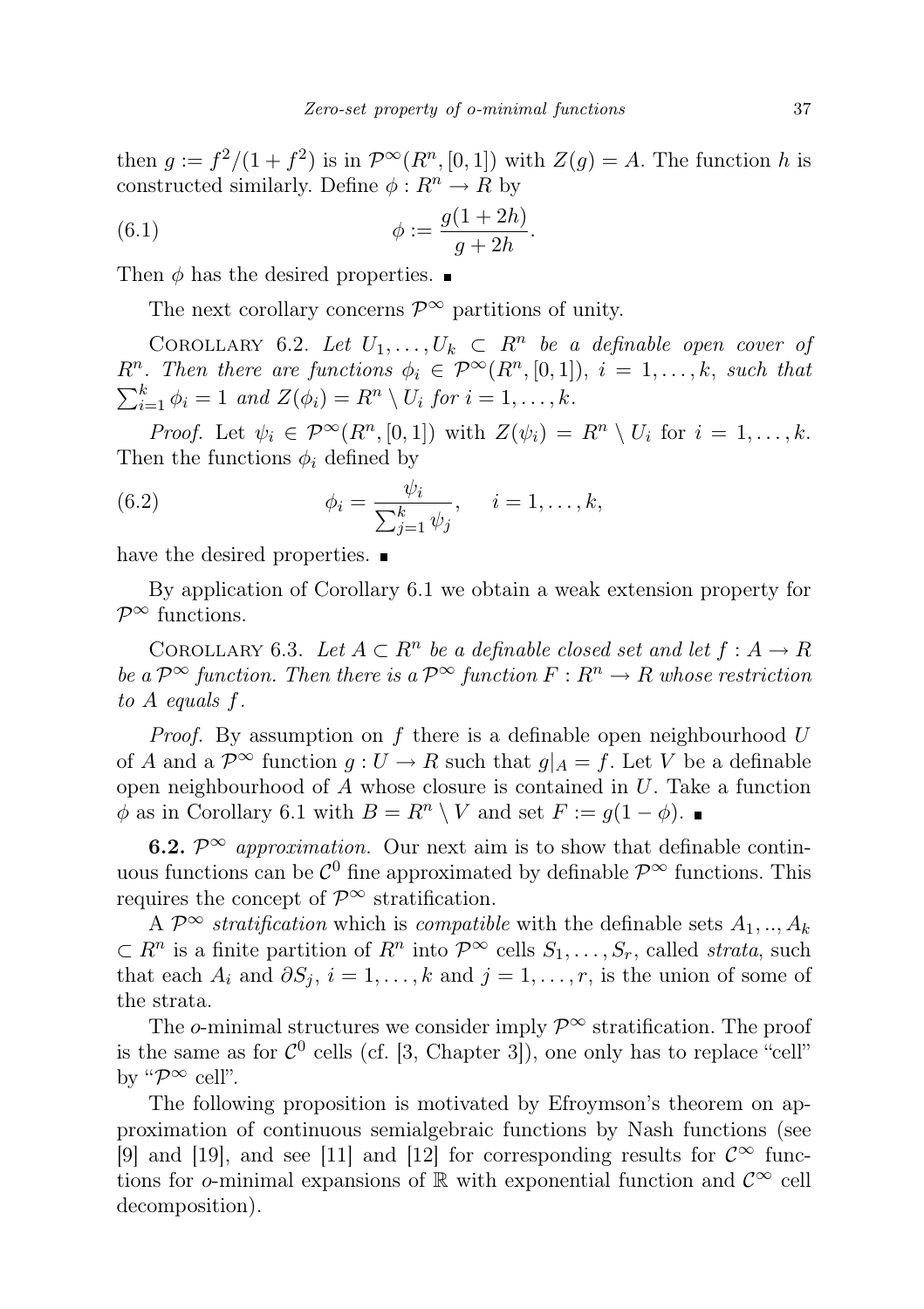then  $g := f^2/(1+f^2)$  is in  $\mathcal{P}^{\infty}(R^n,[0,1])$  with  $Z(g) = A$ . The function h is constructed similarly. Define  $\phi: R^n \to R$  by

(6.1) 
$$
\phi := \frac{g(1+2h)}{g+2h}.
$$

Then  $\phi$  has the desired properties.

The next corollary concerns  $\mathcal{P}^{\infty}$  partitions of unity.

COROLLARY 6.2. Let  $U_1, \ldots, U_k \subset R^n$  be a definable open cover of  $R^n$ . Then there are functions  $\phi_i \in \mathcal{P}^{\infty}(R^n, [0,1])$ ,  $i = 1, \ldots, k$ , such that  $\sum_{i=1}^{k} \phi_i = 1$  and  $Z(\phi_i) = R^n \setminus U_i$  for  $i = 1, \ldots, k$ .

*Proof.* Let  $\psi_i \in \mathcal{P}^{\infty}(R^n, [0, 1])$  with  $Z(\psi_i) = R^n \setminus U_i$  for  $i = 1, ..., k$ . Then the functions  $\phi_i$  defined by

(6.2) 
$$
\phi_i = \frac{\psi_i}{\sum_{j=1}^k \psi_j}, \quad i = 1, ..., k,
$$

have the desired properties.  $\blacksquare$ 

By application of Corollary 6.1 we obtain a weak extension property for  $\mathcal{P}^{\infty}$  functions.

COROLLARY 6.3. Let  $A \subset \mathbb{R}^n$  be a definable closed set and let  $f : A \to \mathbb{R}$ be a  $\mathcal{P}^{\infty}$  function. Then there is a  $\mathcal{P}^{\infty}$  function  $F: \mathbb{R}^n \to \mathbb{R}$  whose restriction to A equals f.

*Proof.* By assumption on  $f$  there is a definable open neighbourhood  $U$ of A and a  $\mathcal{P}^{\infty}$  function  $g: U \to R$  such that  $g|_A = f$ . Let V be a definable open neighbourhood of  $A$  whose closure is contained in  $U$ . Take a function  $\phi$  as in Corollary 6.1 with  $B = R^n \setminus V$  and set  $F := g(1 - \phi)$ .

**6.2.**  $\mathcal{P}^{\infty}$  approximation. Our next aim is to show that definable continuous functions can be  $\mathcal{C}^0$  fine approximated by definable  $\mathcal{P}^{\infty}$  functions. This requires the concept of  $\mathcal{P}^{\infty}$  stratification.

A  $\mathcal{P}^{\infty}$  stratification which is compatible with the definable sets  $A_1, ..., A_k$  $\subset R^n$  is a finite partition of  $R^n$  into  $\mathcal{P}^{\infty}$  cells  $S_1, \ldots, S_r$ , called *strata*, such that each  $A_i$  and  $\partial S_j$ ,  $i = 1, \ldots, k$  and  $j = 1, \ldots, r$ , is the union of some of the strata.

The o-minimal structures we consider imply  $\mathcal{P}^{\infty}$  stratification. The proof is the same as for  $C^0$  cells (cf. [3, Chapter 3]), one only has to replace "cell" by " $\mathcal{P}^{\infty}$  cell".

The following proposition is motivated by Efroymson's theorem on approximation of continuous semialgebraic functions by Nash functions (see [9] and [19], and see [11] and [12] for corresponding results for  $\mathcal{C}^{\infty}$  functions for o-minimal expansions of R with exponential function and  $\mathcal{C}^{\infty}$  cell decomposition).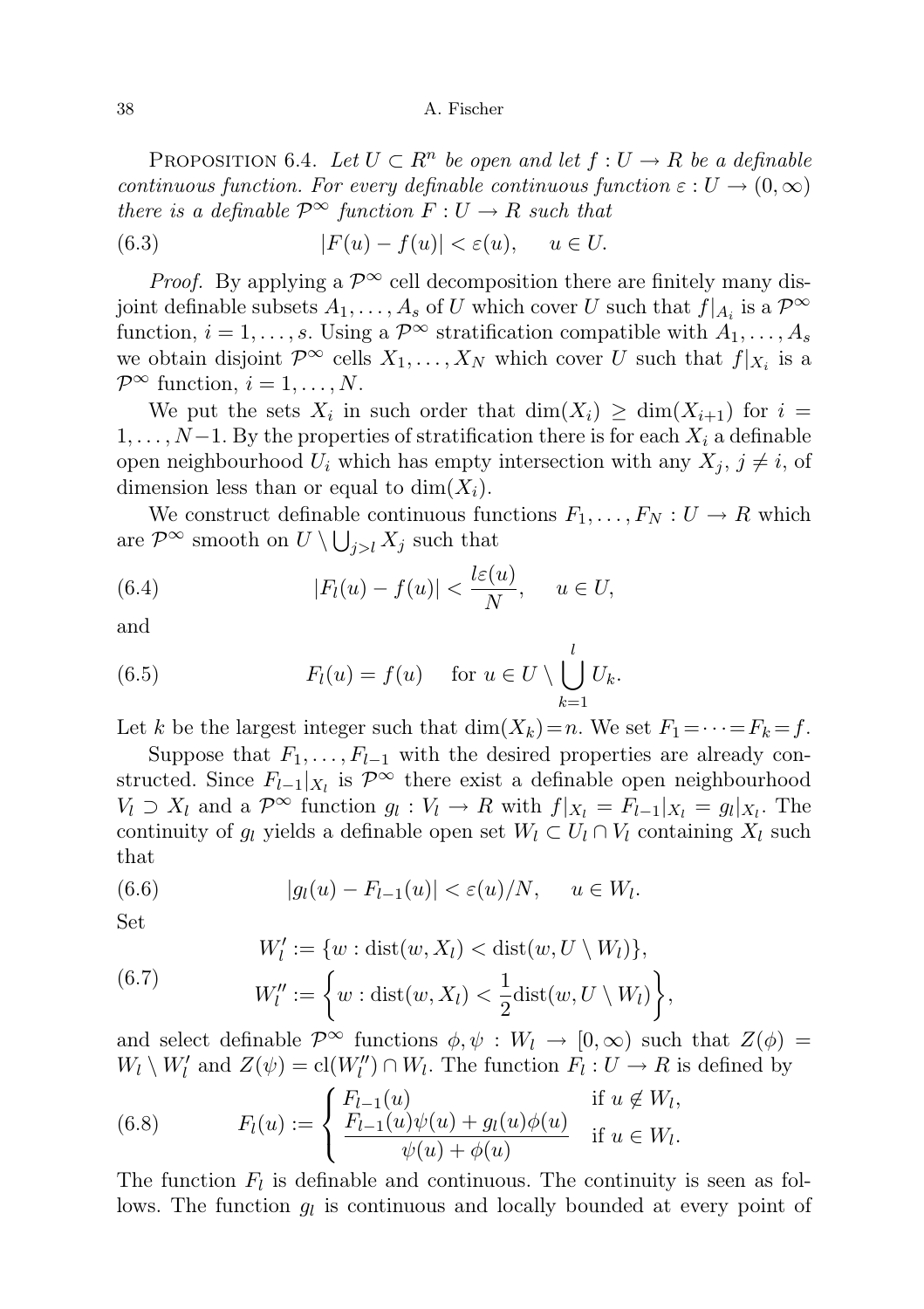PROPOSITION 6.4. Let  $U \subset R^n$  be open and let  $f: U \to R$  be a definable continuous function. For every definable continuous function  $\varepsilon : U \to (0, \infty)$ there is a definable  $\mathcal{P}^{\infty}$  function  $F: U \to R$  such that

(6.3) 
$$
|F(u) - f(u)| < \varepsilon(u), \quad u \in U.
$$

*Proof.* By applying a  $\mathcal{P}^{\infty}$  cell decomposition there are finitely many disjoint definable subsets  $A_1, \ldots, A_s$  of U which cover U such that  $f|_{A_i}$  is a  $\mathcal{P}^{\infty}$ function,  $i = 1, \ldots, s$ . Using a  $\mathcal{P}^{\infty}$  stratification compatible with  $A_1, \ldots, A_s$ we obtain disjoint  $\mathcal{P}^{\infty}$  cells  $X_1, \ldots, X_N$  which cover U such that  $f|_{X_i}$  is a  $\mathcal{P}^{\infty}$  function,  $i = 1, \ldots, N$ .

We put the sets  $X_i$  in such order that  $\dim(X_i) \geq \dim(X_{i+1})$  for  $i =$  $1, \ldots, N-1$ . By the properties of stratification there is for each  $X_i$  a definable open neighbourhood  $U_i$  which has empty intersection with any  $X_i$ ,  $j \neq i$ , of dimension less than or equal to  $\dim(X_i)$ .

We construct definable continuous functions  $F_1, \ldots, F_N : U \to R$  which are  $\mathcal{P}^{\infty}$  smooth on  $U \setminus \bigcup_{j>l} X_j$  such that

(6.4) 
$$
|F_l(u) - f(u)| < \frac{l\varepsilon(u)}{N}, \quad u \in U,
$$

and

(6.5) 
$$
F_l(u) = f(u) \quad \text{for } u \in U \setminus \bigcup_{k=1}^l U_k.
$$

Let k be the largest integer such that  $\dim(X_k)=n$ . We set  $F_1=\cdots=F_k=f$ .

Suppose that  $F_1, \ldots, F_{l-1}$  with the desired properties are already constructed. Since  $F_{l-1}|_{X_l}$  is  $\mathcal{P}^{\infty}$  there exist a definable open neighbourhood  $V_l \supset X_l$  and a  $\mathcal{P}^{\infty}$  function  $g_l: V_l \to R$  with  $f|_{X_l} = F_{l-1}|_{X_l} = g_l|_{X_l}$ . The continuity of  $g_l$  yields a definable open set  $W_l \subset U_l \cap V_l$  containing  $X_l$  such that

(6.6) 
$$
|g_l(u) - F_{l-1}(u)| < \varepsilon(u)/N, \quad u \in W_l.
$$

Set

(6.7) 
$$
W'_l := \{w : \text{dist}(w, X_l) < \text{dist}(w, U \setminus W_l)\},
$$

$$
W''_l := \left\{w : \text{dist}(w, X_l) < \frac{1}{2}\text{dist}(w, U \setminus W_l)\right\},
$$

and select definable  $\mathcal{P}^{\infty}$  functions  $\phi, \psi : W_l \to [0, \infty)$  such that  $Z(\phi) =$  $W_l \setminus W_l'$  and  $Z(\psi) = \text{cl}(W_l'') \cap W_l$ . The function  $F_l : U \to R$  is defined by

(6.8) 
$$
F_l(u) := \begin{cases} F_{l-1}(u) & \text{if } u \notin W_l, \\ \frac{F_{l-1}(u)\psi(u) + g_l(u)\phi(u)}{\psi(u) + \phi(u)} & \text{if } u \in W_l. \end{cases}
$$

The function  $F_l$  is definable and continuous. The continuity is seen as follows. The function  $g_l$  is continuous and locally bounded at every point of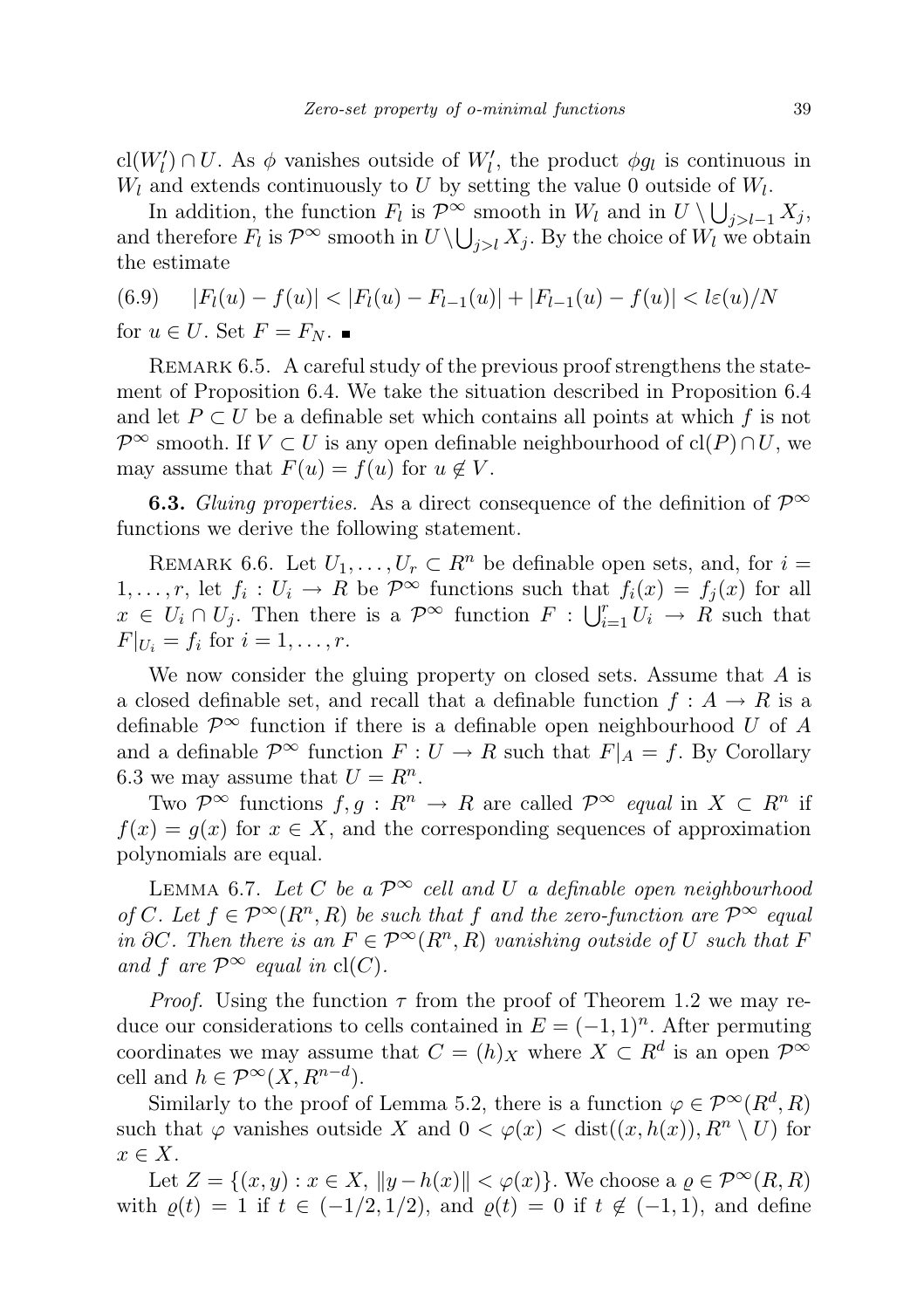cl( $W'_l$ )  $\cap U$ . As  $\phi$  vanishes outside of  $W'_l$ , the product  $\phi g_l$  is continuous in  $W_l$  and extends continuously to U by setting the value 0 outside of  $W_l$ .

In addition, the function  $F_l$  is  $\mathcal{P}^{\infty}$  smooth in  $W_l$  and in  $U \setminus \bigcup_{j>l-1} X_j$ , and therefore  $F_l$  is  $\mathcal{P}^{\infty}$  smooth in  $U \setminus \bigcup_{j>l} X_j$ . By the choice of  $W_l$  we obtain the estimate

(6.9) 
$$
|F_l(u) - f(u)| < |F_l(u) - F_{l-1}(u)| + |F_{l-1}(u) - f(u)| < l\varepsilon(u)/N
$$
  
for  $u \in U$ . Set  $F = F_N$ .

REMARK 6.5. A careful study of the previous proof strengthens the statement of Proposition 6.4. We take the situation described in Proposition 6.4 and let  $P \subset U$  be a definable set which contains all points at which f is not  $\mathcal{P}^{\infty}$  smooth. If  $V \subset U$  is any open definable neighbourhood of cl(P)∩U, we may assume that  $F(u) = f(u)$  for  $u \notin V$ .

**6.3.** Gluing properties. As a direct consequence of the definition of  $\mathcal{P}^{\infty}$ functions we derive the following statement.

REMARK 6.6. Let  $U_1, \ldots, U_r \subset R^n$  be definable open sets, and, for  $i =$  $1, \ldots, r$ , let  $f_i: U_i \to R$  be  $\mathcal{P}^{\infty}$  functions such that  $f_i(x) = f_j(x)$  for all  $x \in U_i \cap U_j$ . Then there is a  $\mathcal{P}^{\infty}$  function  $F: \bigcup_{i=1}^r U_i \to R$  such that  $F|_{U_i} = f_i \text{ for } i = 1, ..., r.$ 

We now consider the gluing property on closed sets. Assume that A is a closed definable set, and recall that a definable function  $f : A \to R$  is a definable  $\mathcal{P}^{\infty}$  function if there is a definable open neighbourhood U of A and a definable  $\mathcal{P}^{\infty}$  function  $F: U \to R$  such that  $F|_A = f$ . By Corollary 6.3 we may assume that  $U = R^n$ .

Two  $\mathcal{P}^{\infty}$  functions  $f, g: R^n \to R$  are called  $\mathcal{P}^{\infty}$  equal in  $X \subset R^n$  if  $f(x) = g(x)$  for  $x \in X$ , and the corresponding sequences of approximation polynomials are equal.

LEMMA 6.7. Let C be a  $\mathcal{P}^{\infty}$  cell and U a definable open neighbourhood of C. Let  $f \in \mathcal{P}^{\infty}(R^n, R)$  be such that f and the zero-function are  $\mathcal{P}^{\infty}$  equal in ∂C. Then there is an  $F \in \mathcal{P}^{\infty}(R^n, R)$  vanishing outside of U such that F and f are  $\mathcal{P}^{\infty}$  equal in cl(C).

*Proof.* Using the function  $\tau$  from the proof of Theorem 1.2 we may reduce our considerations to cells contained in  $E = (-1, 1)^n$ . After permuting coordinates we may assume that  $C = (h)_X$  where  $X \subset R^d$  is an open  $\mathcal{P}^{\infty}$ cell and  $h \in \mathcal{P}^{\infty}(X, R^{n-d}).$ 

Similarly to the proof of Lemma 5.2, there is a function  $\varphi \in \mathcal{P}^{\infty}(R^d, R)$ such that  $\varphi$  vanishes outside X and  $0 < \varphi(x) < \text{dist}((x, h(x)), R^n \setminus U)$  for  $x \in X$ .

Let  $Z = \{(x, y) : x \in X, ||y - h(x)|| < \varphi(x)\}\)$ . We choose a  $\varrho \in \mathcal{P}^{\infty}(R, R)$ with  $\varrho(t) = 1$  if  $t \in (-1/2, 1/2)$ , and  $\varrho(t) = 0$  if  $t \notin (-1, 1)$ , and define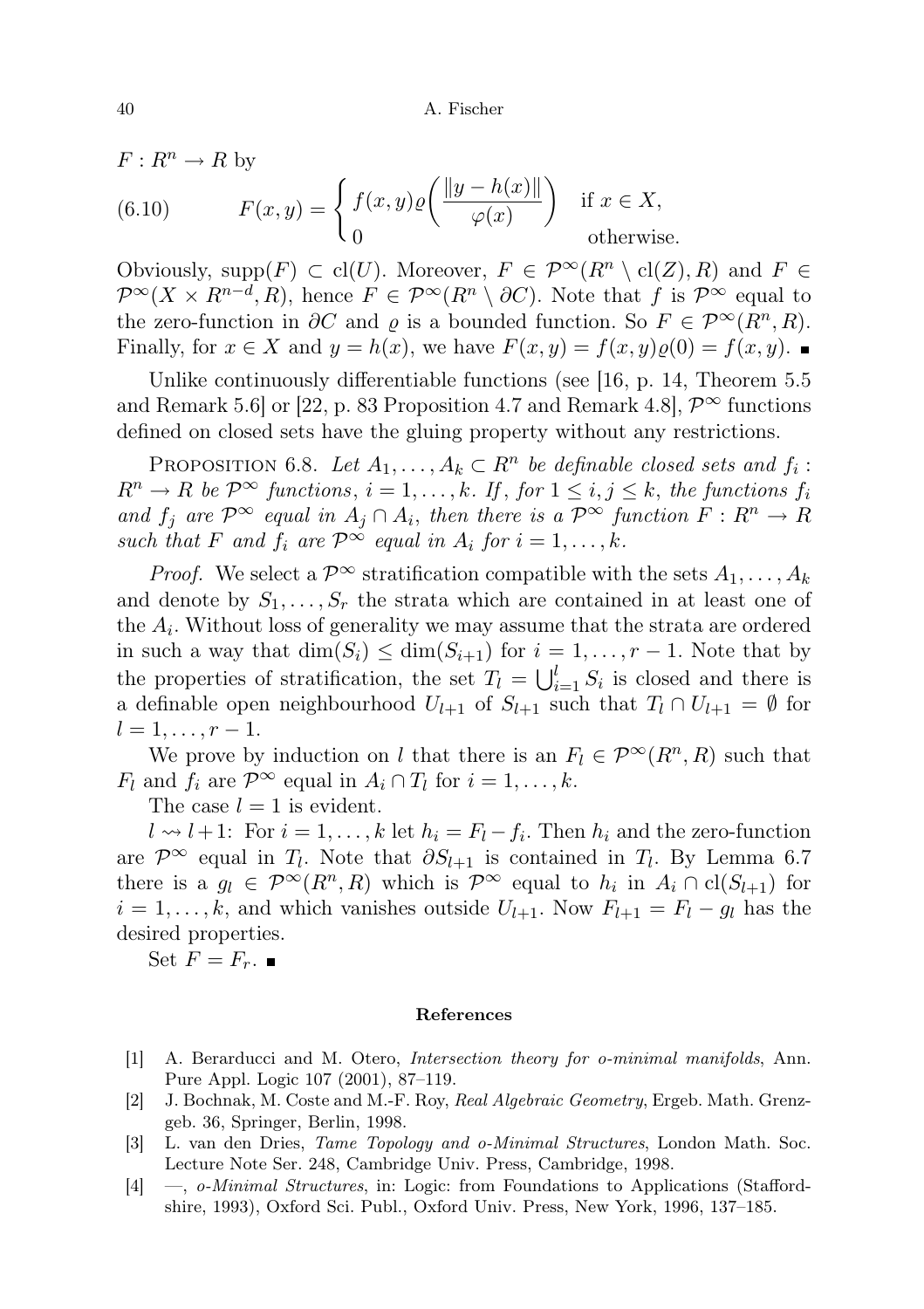$F: R^n \to R$  by

(6.10) 
$$
F(x,y) = \begin{cases} f(x,y)\varrho\left(\frac{\|y-h(x)\|}{\varphi(x)}\right) & \text{if } x \in X, \\ 0 & \text{otherwise.} \end{cases}
$$

Obviously, supp $(F) \subset cl(U)$ . Moreover,  $F \in \mathcal{P}^{\infty}(R^n \setminus cl(Z), R)$  and  $F \in$  $\mathcal{P}^{\infty}(X \times R^{n-d}, R)$ , hence  $F \in \mathcal{P}^{\infty}(R^n \setminus \partial C)$ . Note that f is  $\mathcal{P}^{\infty}$  equal to the zero-function in  $\partial C$  and  $\varrho$  is a bounded function. So  $F \in \mathcal{P}^{\infty}(R^n, R)$ . Finally, for  $x \in X$  and  $y = h(x)$ , we have  $F(x, y) = f(x, y)\rho(0) = f(x, y)$ .

Unlike continuously differentiable functions (see [16, p. 14, Theorem 5.5 and Remark 5.6] or [22, p. 83 Proposition 4.7 and Remark 4.8],  $\mathcal{P}^{\infty}$  functions defined on closed sets have the gluing property without any restrictions.

PROPOSITION 6.8. Let  $A_1, \ldots, A_k \subset R^n$  be definable closed sets and  $f_i$ :  $R^n \to R$  be  $\mathcal{P}^{\infty}$  functions,  $i = 1, ..., k$ . If, for  $1 \leq i, j \leq k$ , the functions  $f_i$ and  $f_j$  are  $\mathcal{P}^{\infty}$  equal in  $A_j \cap A_i$ , then there is a  $\mathcal{P}^{\infty}$  function  $F: \mathbb{R}^n \to \mathbb{R}$ such that F and  $f_i$  are  $\mathcal{P}^{\infty}$  equal in  $A_i$  for  $i = 1, ..., k$ .

*Proof.* We select a  $\mathcal{P}^{\infty}$  stratification compatible with the sets  $A_1, \ldots, A_k$ and denote by  $S_1, \ldots, S_r$  the strata which are contained in at least one of the  $A_i$ . Without loss of generality we may assume that the strata are ordered in such a way that  $\dim(S_i) \leq \dim(S_{i+1})$  for  $i = 1, \ldots, r-1$ . Note that by the properties of stratification, the set  $T_l = \bigcup_{i=1}^l S_i$  is closed and there is a definable open neighbourhood  $U_{l+1}$  of  $S_{l+1}$  such that  $T_l \cap U_{l+1} = \emptyset$  for  $l = 1, \ldots, r - 1.$ 

We prove by induction on l that there is an  $F_l \in \mathcal{P}^{\infty}(R^n, R)$  such that  $F_l$  and  $f_i$  are  $\mathcal{P}^{\infty}$  equal in  $A_i \cap T_l$  for  $i = 1, ..., k$ .

The case  $l = 1$  is evident.

 $l \rightsquigarrow l+1$ : For  $i = 1, ..., k$  let  $h_i = F_l - f_i$ . Then  $h_i$  and the zero-function are  $\mathcal{P}^{\infty}$  equal in  $T_l$ . Note that  $\partial S_{l+1}$  is contained in  $T_l$ . By Lemma 6.7 there is a  $g_l \in \mathcal{P}^{\infty}(R^n, R)$  which is  $\mathcal{P}^{\infty}$  equal to  $h_i$  in  $A_i \cap \text{cl}(S_{l+1})$  for  $i = 1, \ldots, k$ , and which vanishes outside  $U_{l+1}$ . Now  $F_{l+1} = F_l - g_l$  has the desired properties.

Set  $F = F_r$ .

#### References

- [1] A. Berarducci and M. Otero, Intersection theory for o-minimal manifolds, Ann. Pure Appl. Logic 107 (2001), 87–119.
- [2] J. Bochnak, M. Coste and M.-F. Roy, Real Algebraic Geometry, Ergeb. Math. Grenzgeb. 36, Springer, Berlin, 1998.
- [3] L. van den Dries, Tame Topology and o-Minimal Structures, London Math. Soc. Lecture Note Ser. 248, Cambridge Univ. Press, Cambridge, 1998.
- [4] —, o-Minimal Structures, in: Logic: from Foundations to Applications (Staffordshire, 1993), Oxford Sci. Publ., Oxford Univ. Press, New York, 1996, 137–185.